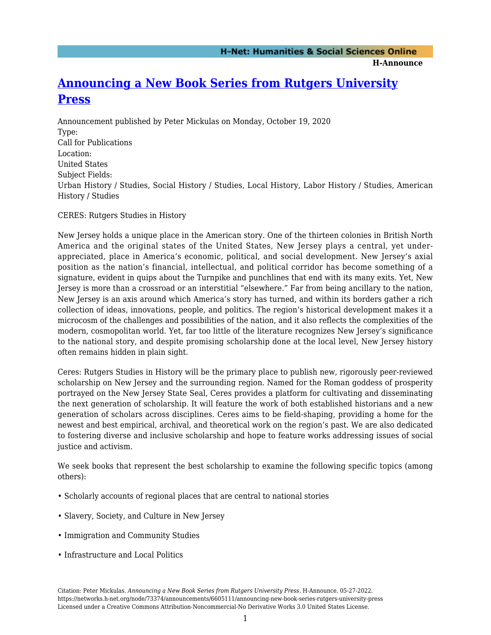**H-Announce** 

## **[Announcing a New Book Series from Rutgers University](https://networks.h-net.org/node/73374/announcements/6605111/announcing-new-book-series-rutgers-university-press) [Press](https://networks.h-net.org/node/73374/announcements/6605111/announcing-new-book-series-rutgers-university-press)**

Announcement published by Peter Mickulas on Monday, October 19, 2020 Type: Call for Publications Location: United States Subject Fields: Urban History / Studies, Social History / Studies, Local History, Labor History / Studies, American History / Studies

CERES: Rutgers Studies in History

New Jersey holds a unique place in the American story. One of the thirteen colonies in British North America and the original states of the United States, New Jersey plays a central, yet underappreciated, place in America's economic, political, and social development. New Jersey's axial position as the nation's financial, intellectual, and political corridor has become something of a signature, evident in quips about the Turnpike and punchlines that end with its many exits. Yet, New Jersey is more than a crossroad or an interstitial "elsewhere." Far from being ancillary to the nation, New Jersey is an axis around which America's story has turned, and within its borders gather a rich collection of ideas, innovations, people, and politics. The region's historical development makes it a microcosm of the challenges and possibilities of the nation, and it also reflects the complexities of the modern, cosmopolitan world. Yet, far too little of the literature recognizes New Jersey's significance to the national story, and despite promising scholarship done at the local level, New Jersey history often remains hidden in plain sight.

Ceres: Rutgers Studies in History will be the primary place to publish new, rigorously peer-reviewed scholarship on New Jersey and the surrounding region. Named for the Roman goddess of prosperity portrayed on the New Jersey State Seal, Ceres provides a platform for cultivating and disseminating the next generation of scholarship. It will feature the work of both established historians and a new generation of scholars across disciplines. Ceres aims to be field-shaping, providing a home for the newest and best empirical, archival, and theoretical work on the region's past. We are also dedicated to fostering diverse and inclusive scholarship and hope to feature works addressing issues of social justice and activism.

We seek books that represent the best scholarship to examine the following specific topics (among others):

- Scholarly accounts of regional places that are central to national stories
- Slavery, Society, and Culture in New Jersey
- Immigration and Community Studies
- Infrastructure and Local Politics